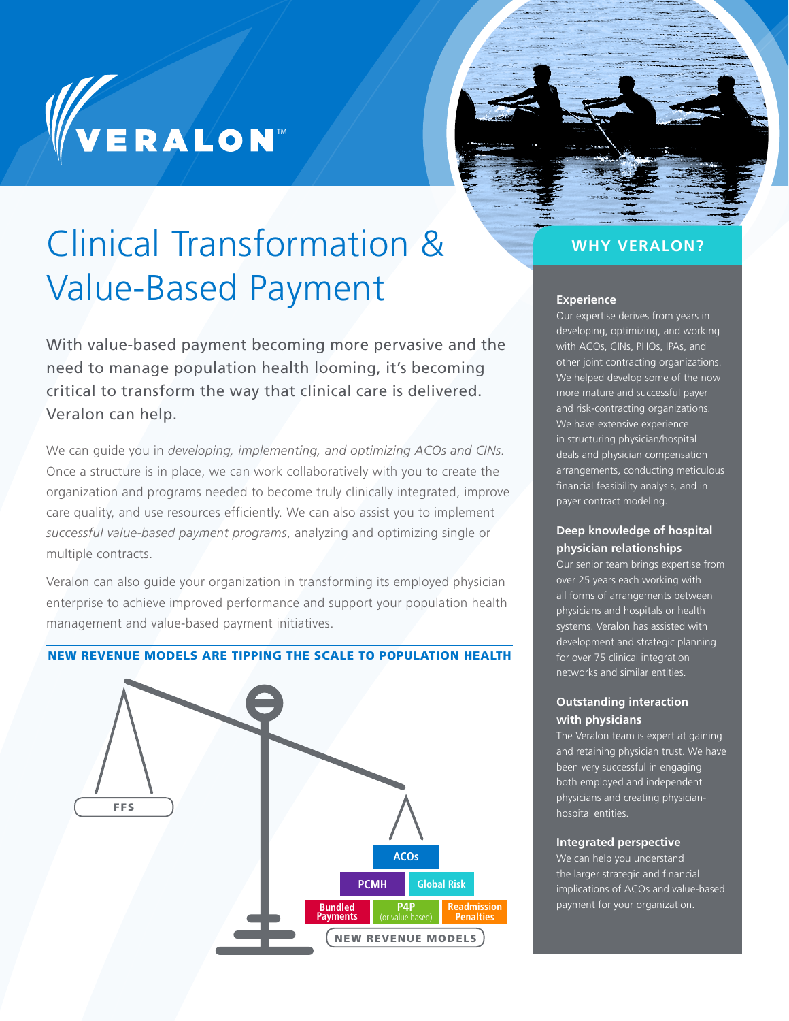# WERALON



## Clinical Transformation & WHY VERALON? Value-Based Payment

With value-based payment becoming more pervasive and the need to manage population health looming, it's becoming critical to transform the way that clinical care is delivered. Veralon can help.

We can guide you in *developing, implementing, and optimizing ACOs and CINs.* Once a structure is in place, we can work collaboratively with you to create the organization and programs needed to become truly clinically integrated, improve care quality, and use resources efficiently. We can also assist you to implement *successful value-based payment programs*, analyzing and optimizing single or multiple contracts.

Veralon can also guide your organization in transforming its employed physician enterprise to achieve improved performance and support your population health management and value-based payment initiatives.

#### NEW REVENUE MODELS ARE TIPPING THE SCALE TO POPULATION HEALTH



#### **Experience**

Our expertise derives from years in developing, optimizing, and working with ACOs, CINs, PHOs, IPAs, and other joint contracting organizations. We helped develop some of the now more mature and successful payer and risk-contracting organizations. We have extensive experience in structuring physician/hospital deals and physician compensation arrangements, conducting meticulous financial feasibility analysis, and in payer contract modeling.

#### **Deep knowledge of hospital physician relationships**

Our senior team brings expertise from over 25 years each working with all forms of arrangements between physicians and hospitals or health systems. Veralon has assisted with development and strategic planning for over 75 clinical integration networks and similar entities.

#### **Outstanding interaction with physicians**

The Veralon team is expert at gaining and retaining physician trust. We have been very successful in engaging both employed and independent physicians and creating physicianhospital entities.

#### **Integrated perspective**

We can help you understand the larger strategic and financial implications of ACOs and value-based payment for your organization.